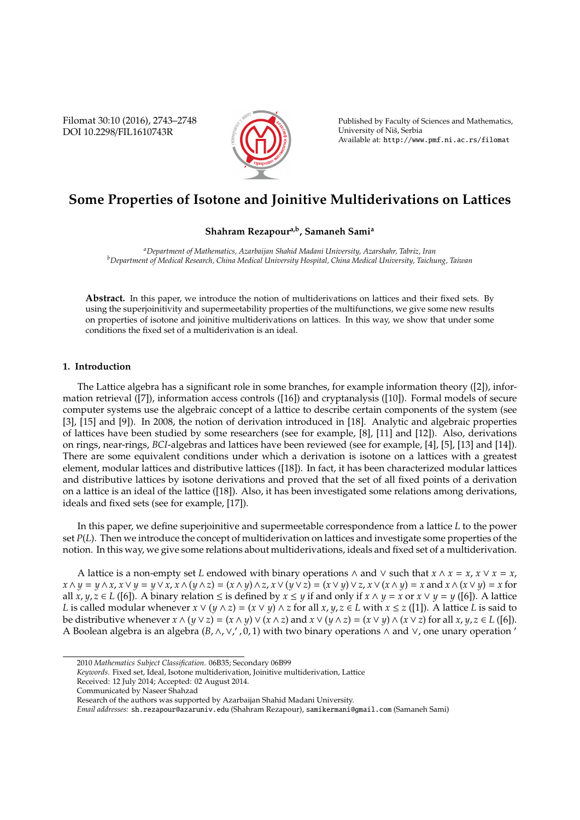Filomat 30:10 (2016), 2743–2748 DOI 10.2298/FIL1610743R



Published by Faculty of Sciences and Mathematics, University of Niš, Serbia Available at: http://www.pmf.ni.ac.rs/filomat

# **Some Properties of Isotone and Joinitive Multiderivations on Lattices**

## **Shahram Rezapoura,b, Samaneh Sami<sup>a</sup>**

*<sup>a</sup>Department of Mathematics, Azarbaijan Shahid Madani University, Azarshahr, Tabriz, Iran <sup>b</sup>Department of Medical Research, China Medical University Hospital, China Medical University, Taichung, Taiwan*

**Abstract.** In this paper, we introduce the notion of multiderivations on lattices and their fixed sets. By using the superjoinitivity and supermeetability properties of the multifunctions, we give some new results on properties of isotone and joinitive multiderivations on lattices. In this way, we show that under some conditions the fixed set of a multiderivation is an ideal.

### **1. Introduction**

The Lattice algebra has a significant role in some branches, for example information theory ([2]), information retrieval ([7]), information access controls ([16]) and cryptanalysis ([10]). Formal models of secure computer systems use the algebraic concept of a lattice to describe certain components of the system (see [3], [15] and [9]). In 2008, the notion of derivation introduced in [18]. Analytic and algebraic properties of lattices have been studied by some researchers (see for example, [8], [11] and [12]). Also, derivations on rings, near-rings, *BCI*-algebras and lattices have been reviewed (see for example, [4], [5], [13] and [14]). There are some equivalent conditions under which a derivation is isotone on a lattices with a greatest element, modular lattices and distributive lattices ([18]). In fact, it has been characterized modular lattices and distributive lattices by isotone derivations and proved that the set of all fixed points of a derivation on a lattice is an ideal of the lattice ([18]). Also, it has been investigated some relations among derivations, ideals and fixed sets (see for example, [17]).

In this paper, we define superjoinitive and supermeetable correspondence from a lattice *L* to the power set *P*(*L*). Then we introduce the concept of multiderivation on lattices and investigate some properties of the notion. In this way, we give some relations about multiderivations, ideals and fixed set of a multiderivation.

A lattice is a non-empty set *L* endowed with binary operations  $\land$  and  $\lor$  such that  $x \land x = x$ ,  $x \lor x = x$ ,  $x \wedge y = y \wedge x$ ,  $x \vee y = y \vee x$ ,  $x \wedge (y \wedge z) = (x \wedge y) \wedge z$ ,  $x \vee (y \vee z) = (x \vee y) \vee z$ ,  $x \vee (x \wedge y) = x$  and  $x \wedge (x \vee y) = x$  for all *x*, *y*, *z* ∈ *L* ([6]). A binary relation ≤ is defined by *x* ≤ *y* if and only if *x* ∧ *y* = *x* or *x* ∨ *y* = *y* ([6]). A lattice *L* is called modular whenever  $x \vee (y \wedge z) = (x \vee y) \wedge z$  for all  $x, y, z \in L$  with  $x \leq z$  ([1]). A lattice *L* is said to be distributive whenever  $x \wedge (y \vee z) = (x \wedge y) \vee (x \wedge z)$  and  $x \vee (y \wedge z) = (x \vee y) \wedge (x \vee z)$  for all  $x, y, z \in L([6])$ . A Boolean algebra is an algebra (*B*, ∧, ∨, ', 0, 1) with two binary operations ∧ and ∨, one unary operation '

<sup>2010</sup> *Mathematics Subject Classification*. 06B35; Secondary 06B99

*Keywords*. Fixed set, Ideal, Isotone multiderivation, Joinitive multiderivation, Lattice

Received: 12 July 2014; Accepted: 02 August 2014.

Communicated by Naseer Shahzad

Research of the authors was supported by Azarbaijan Shahid Madani University.

*Email addresses:* sh.rezapour@azaruniv.edu (Shahram Rezapour), samikermani@gmail.com (Samaneh Sami)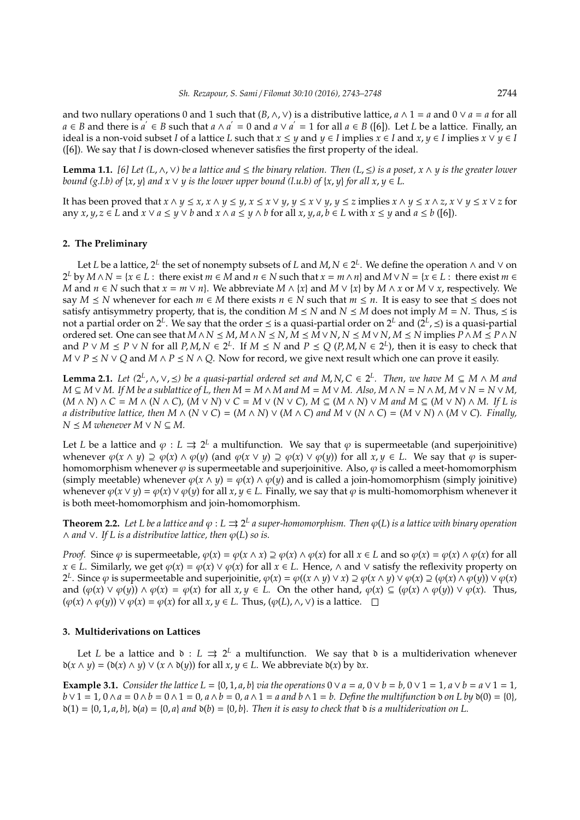and two nullary operations 0 and 1 such that (*B*,∧,∨) is a distributive lattice, *a* ∧ 1 = *a* and 0 ∨ *a* = *a* for all *a* ∈ *B* and there is  $a' \in B$  such that  $a \wedge a' = 0$  and  $a \vee a' = 1$  for all  $a \in B$  ([6]). Let *L* be a lattice. Finally, an ideal is a non-void subset *I* of a lattice *L* such that  $x \le y$  and  $y \in I$  implies  $x \in I$  and  $x, y \in I$  implies  $x \vee y \in I$ ([6]). We say that *I* is down-closed whenever satisfies the first property of the ideal.

**Lemma 1.1.** *[6] Let (L*,∧,∨*) be a lattice and* ≤ *the binary relation. Then (L*,≤*) is a poset, x* ∧ *y is the greater lower bound* (*g.l.b*) of  $\{x, y\}$  *and*  $x \vee y$  *is the lower upper bound* (*l.u.b*) of  $\{x, y\}$  *for all*  $x, y \in L$ .

It has been proved that  $x \wedge y \le x$ ,  $x \wedge y \le y$ ,  $x \le x \vee y$ ,  $y \le x \vee y$ ,  $y \le z$  implies  $x \wedge y \le x \wedge z$ ,  $x \vee y \le x \vee z$  for any  $x, y, z \in L$  and  $x \vee a \leq y \vee b$  and  $x \wedge a \leq y \wedge b$  for all  $x, y, a, b \in L$  with  $x \leq y$  and  $a \leq b$  ([6]).

#### **2. The Preliminary**

Let *L* be a lattice, 2<sup>L</sup> the set of nonempty subsets of *L* and *M*, *N*  $\in$  2<sup>L</sup>. We define the operation  $\land$  and  $\lor$  on 2<sup>*L*</sup> by *M* ∧ *N* = {*x* ∈ *L* : there exist *m* ∈ *M* and *n* ∈ *N* such that *x* = *m* ∧ *n*} and *M* ∨ *N* = {*x* ∈ *L* : there exist *m* ∈ *M* and *n* ∈ *N* such that  $x = m \vee n$ . We abbreviate  $M \wedge \{x\}$  and  $M \vee \{x\}$  by  $M \wedge x$  or  $M \vee x$ , respectively. We say  $M \leq N$  whenever for each  $m \in M$  there exists  $n \in N$  such that  $m \leq n$ . It is easy to see that  $\leq$  does not satisfy antisymmetry property, that is, the condition  $M \leq N$  and  $N \leq M$  does not imply  $M = N$ . Thus,  $\leq$  is not a partial order on 2<sup>L</sup>. We say that the order ≤ is a quasi-partial order on 2<sup>L</sup> and (2<sup>L</sup>, ≤) is a quasi-partial ordered set. One can see that  $M \wedge N \le M, M \wedge N \le N, M \le M \vee N, N \le M \vee N, M \le N$  implies  $P \wedge M \le P \wedge N$ and  $P \vee M \leq P \vee N$  for all  $P, M, N \in 2^L$ . If  $M \leq N$  and  $P \leq Q$  ( $P, M, N \in 2^L$ ), then it is easy to check that *M* ∨ *P*  $\leq$  *N* ∨ *Q* and *M* ∧ *P*  $\leq$  *N* ∧ *Q*. Now for record, we give next result which one can prove it easily.

**Lemma 2.1.** Let  $(2^L, \land, \lor, \leq)$  be a quasi-partial ordered set and M, N, C ∈ 2<sup>L</sup>. Then, we have M ⊆ M  $\land$  M and  $M \subseteq M \vee M$ . If M be a sublattice of L, then  $M = M \wedge M$  and  $M = M \vee M$ . Also,  $M \wedge N = N \wedge M$ ,  $M \vee N = N \vee M$ ,  $(M \wedge N) \wedge C = M \wedge (N \wedge C)$ ,  $(M \vee N) \vee C = M \vee (N \vee C)$ ,  $M \subseteq (M \wedge N) \vee M$  and  $M \subseteq (M \vee N) \wedge M$ . If L is *a* distributive lattice, then  $M \wedge (N \vee C) = (M \wedge N) \vee (M \wedge C)$  and  $M \vee (N \wedge C) = (M \vee N) \wedge (M \vee C)$ . Finally,  $N \leq M$  whenever  $M \vee N \subseteq M$ .

Let *L* be a lattice and  $\varphi : L \rightrightarrows 2^L$  a multifunction. We say that  $\varphi$  is supermeetable (and superjoinitive) whenever  $\varphi(x \wedge y) \supseteq \varphi(x) \wedge \varphi(y)$  (and  $\varphi(x \vee y) \supseteq \varphi(x) \vee \varphi(y)$ ) for all  $x, y \in L$ . We say that  $\varphi$  is superhomomorphism whenever  $\varphi$  is supermeetable and superjoinitive. Also,  $\varphi$  is called a meet-homomorphism (simply meetable) whenever  $\varphi(x \wedge y) = \varphi(x) \wedge \varphi(y)$  and is called a join-homomorphism (simply joinitive) whenever  $\varphi(x \vee y) = \varphi(x) \vee \varphi(y)$  for all  $x, y \in L$ . Finally, we say that  $\varphi$  is multi-homomorphism whenever it is both meet-homomorphism and join-homomorphism.

**Theorem 2.2.** Let L be a lattice and  $\varphi$  :  $L \rightrightarrows 2^L$  a super-homomorphism. Then  $\varphi(L)$  is a lattice with binary operation  $∧$  *and*  $∨$ *.* If *L* is a distributive lattice, then  $\varphi(L)$  so is.

*Proof.* Since  $\varphi$  is supermeetable,  $\varphi(x) = \varphi(x \wedge x) \supseteq \varphi(x) \wedge \varphi(x)$  for all  $x \in L$  and so  $\varphi(x) = \varphi(x) \wedge \varphi(x)$  for all *x* ∈ *L*. Similarly, we get  $\varphi(x) = \varphi(x) \vee \varphi(x)$  for all *x* ∈ *L*. Hence,  $\wedge$  and  $\vee$  satisfy the reflexivity property on 2<sup>*L*</sup>. Since *ϕ* is supermeetable and superjoinitie,  $\varphi$ (*x* → *y*) ∨ *x*) ⊇  $\varphi$ (*x* ∧ *y*) ∨  $\varphi$ (*x*) ∧  $\varphi$ (*y*)) ∨  $\varphi$ (*x*) and  $(\varphi(x) \vee \varphi(y)) \wedge \varphi(x) = \varphi(x)$  for all  $x, y \in L$ . On the other hand,  $\varphi(x) \subseteq (\varphi(x) \wedge \varphi(y)) \vee \varphi(x)$ . Thus,  $(φ(x) ∧ φ(y)) ∨ φ(x) = φ(x)$  for all  $x, y ∈ L$ . Thus,  $(φ(L), ∧, ∨)$  is a lattice.  $□$ 

#### **3. Multiderivations on Lattices**

Let *L* be a lattice and  $\delta$  :  $L \rightrightarrows 2^L$  a multifunction. We say that  $\delta$  is a multiderivation whenever  $\delta(x \wedge y) = (\delta(x) \wedge y) \vee (x \wedge \delta(y))$  for all  $x, y \in L$ . We abbreviate  $\delta(x)$  by  $\delta x$ .

**Example 3.1.** *Consider the lattice L* = {0, 1, *a*, *b*} *via the operations*  $0 \vee a = a$ ,  $0 \vee b = b$ ,  $0 \vee 1 = 1$ ,  $a \vee b = a \vee 1 = 1$ ,  $b \vee 1 = 1$ ,  $0 \wedge a = 0 \wedge b = 0 \wedge 1 = 0$ ,  $a \wedge b = 0$ ,  $a \wedge 1 = a$  and  $b \wedge 1 = b$ . Define the multifunction  $b$  on  $L$  by  $b(0) = \{0\}$ ,  $\delta(1) = \{0, 1, a, b\}$ ,  $\delta(a) = \{0, a\}$  and  $\delta(b) = \{0, b\}$ . Then it is easy to check that  $\delta$  *is a multiderivation on L.*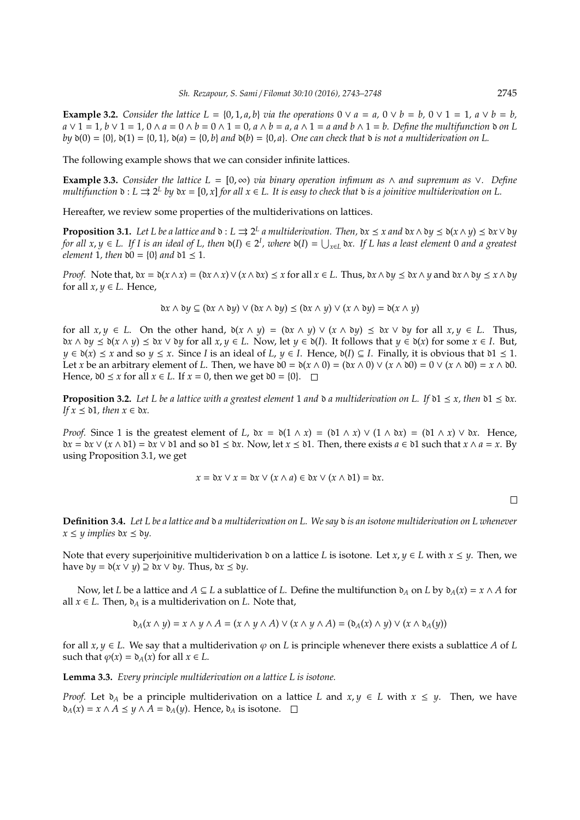**Example 3.2.** *Consider the lattice L* = {0, 1, *a*, *b*} *via the operations*  $0 \vee a = a$ ,  $0 \vee b = b$ ,  $0 \vee 1 = 1$ ,  $a \vee b = b$ .  $a \vee 1 = 1$ ,  $b \vee 1 = 1$ ,  $0 \wedge a = 0 \wedge b = 0 \wedge 1 = 0$ ,  $a \wedge b = a$ ,  $a \wedge 1 = a$  and  $b \wedge 1 = b$ . Define the multifunction  $\phi$  on L *by*  $\delta(0) = \{0\}$ ,  $\delta(1) = \{0, 1\}$ ,  $\delta(a) = \{0, b\}$  *and*  $\delta(b) = \{0, a\}$ . One can check that  $\delta$  *is not a multiderivation on* L.

The following example shows that we can consider infinite lattices.

**Example 3.3.** *Consider the lattice L* = [0, ∞) *via binary operation infimum as* ∧ *and supremum as* ∨*. Define multifunction*  $\mathfrak{d}: L \rightrightarrows 2^L$  by  $\mathfrak{d}x = [0, x]$  for all  $x \in L$ . It is easy to check that  $\mathfrak{d}$  *is a joinitive multiderivation on L.* 

Hereafter, we review some properties of the multiderivations on lattices.

**Proposition 3.1.** Let L be a lattice and  $\mathfrak{d} : L \rightrightarrows 2^L$  a multiderivation. Then,  $\mathfrak{d}x \leq x$  and  $\mathfrak{d}x \wedge \mathfrak{d}y \leq \mathfrak{d}(x \wedge y) \leq \mathfrak{d}x \vee \mathfrak{d}y$  $f$  *for all x, y*  $\in$  *L.* If I is an ideal of L, then  $\delta(I) \in 2^I$ , where  $\delta(I) = \bigcup_{x \in L} \delta x$ . If L has a least element 0 and a greatest *element* 1*, then*  $\delta 0 = \{0\}$  *and*  $\delta 1 \leq 1$ *.* 

*Proof.* Note that,  $bx = b(x \wedge x) = (bx \wedge x) \vee (x \wedge bx) \le x$  for all  $x \in L$ . Thus,  $bx \wedge by \le bx \wedge y$  and  $bx \wedge by \le x \wedge by$ for all  $x, y \in L$ . Hence,

$$
\delta x \wedge \delta y \subseteq (\delta x \wedge \delta y) \vee (\delta x \wedge \delta y) \leq (\delta x \wedge y) \vee (x \wedge \delta y) = \delta(x \wedge y)
$$

for all  $x, y \in L$ . On the other hand,  $\delta(x \wedge y) = (\delta x \wedge y) \vee (x \wedge \delta y) \leq \delta x \vee \delta y$  for all  $x, y \in L$ . Thus,  $\partial x \wedge \partial y \leq \partial(x \wedge y) \leq \partial x \vee \partial y$  for all  $x, y \in L$ . Now, let  $y \in \partial(I)$ . It follows that  $y \in \partial(x)$  for some  $x \in I$ . But, *y* ∈  $\delta(x)$   $\leq$  *x* and so *y*  $\leq$  *x*. Since *I* is an ideal of *L*, *y* ∈ *I*. Hence,  $\delta(I)$  ⊆ *I*. Finally, it is obvious that  $\delta1$   $\leq$  1. Let *x* be an arbitrary element of *L*. Then, we have  $\delta 0 = \delta(x \wedge 0) = (\delta x \wedge 0) \vee (x \wedge \delta 0) = 0 \vee (x \wedge \delta 0) = x \wedge \delta 0$ . Hence,  $\delta 0 \le x$  for all  $x \in L$ . If  $x = 0$ , then we get  $\delta 0 = \{0\}$ .  $\Box$ 

**Proposition 3.2.** Let L be a lattice with a greatest element 1 and  $\delta$  a multiderivation on L. If  $\delta$ 1  $\leq$  x, then  $\delta$ 1  $\leq$   $\delta$ x. *If*  $x \leq \delta$ 1*, then*  $x \in \delta x$ .

*Proof.* Since 1 is the greatest element of *L*,  $\delta x = \delta(1 \wedge x) = (\delta 1 \wedge x) \vee (1 \wedge \delta x) = (\delta 1 \wedge x) \vee \delta x$ . Hence,  $\partial x = \partial x \vee (x \wedge \partial 1) = \partial x \vee \partial 1$  and so  $\partial 1 \leq \partial x$ . Now, let  $x \leq \partial 1$ . Then, there exists  $a \in \partial 1$  such that  $x \wedge a = x$ . By using Proposition 3.1, we get

$$
x = \mathfrak{d}x \vee x = \mathfrak{d}x \vee (x \wedge a) \in \mathfrak{d}x \vee (x \wedge \mathfrak{d}1) = \mathfrak{d}x.
$$

 $\Box$ 

**Definition 3.4.** *Let L be a lattice and* d *a multiderivation on L. We say* d *is an isotone multiderivation on L whenever*  $x \leq y$  *implies*  $\delta x \leq \delta y$ .

Note that every superjoinitive multiderivation  $\delta$  on a lattice *L* is isotone. Let  $x, y \in L$  with  $x \le y$ . Then, we have  $\delta y = \delta(x \lor y) \supseteq \delta x \lor \delta y$ . Thus,  $\delta x \leq \delta y$ .

Now, let *L* be a lattice and *A* ⊆ *L* a sublattice of *L*. Define the multifunction  $\delta$ <sub>*A*</sub> on *L* by  $\delta$ <sub>*A*</sub>(*x*) = *x* ∧ *A* for all *x* ∈ *L*. Then,  $\delta$ <sup>*A*</sup> is a multiderivation on *L*. Note that,

$$
\mathfrak{d}_A(x \wedge y) = x \wedge y \wedge A = (x \wedge y \wedge A) \vee (x \wedge y \wedge A) = (\mathfrak{d}_A(x) \wedge y) \vee (x \wedge \mathfrak{d}_A(y))
$$

for all  $x, y \in L$ . We say that a multiderivation  $\varphi$  on *L* is principle whenever there exists a sublattice *A* of *L* such that  $\varphi(x) = \delta_A(x)$  for all  $x \in L$ .

**Lemma 3.3.** *Every principle multiderivation on a lattice L is isotone.*

*Proof.* Let  $\delta_A$  be a principle multiderivation on a lattice *L* and  $x, y \in L$  with  $x \leq y$ . Then, we have  $\delta_A(x) = x \land A \leq y \land A = \delta_A(y)$ . Hence,  $\delta_A$  is isotone. □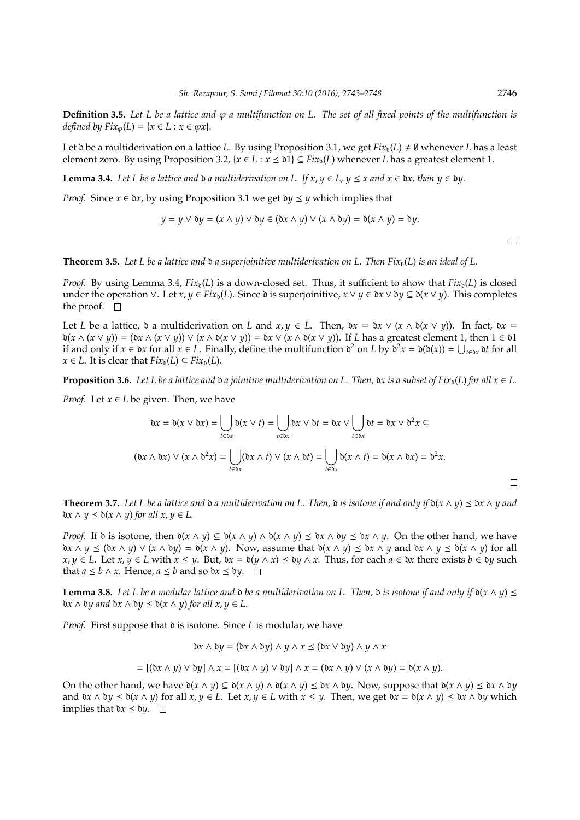**Definition 3.5.** Let L be a lattice and  $\varphi$  a multifunction on L. The set of all fixed points of the multifunction is *defined by*  $Fix_{\varphi}(L) = \{x \in L : x \in \varphi x\}.$ 

Let  $\delta$  be a multiderivation on a lattice *L*. By using Proposition 3.1, we get  $Fix_{\delta}(L) \neq \emptyset$  whenever *L* has a least element zero. By using Proposition 3.2,  $\{x \in L : x \leq \mathfrak{d} \} \subseteq Fix_{\mathfrak{d}}(L)$  whenever *L* has a greatest element 1.

**Lemma 3.4.** *Let L be a lattice and*  $\delta$  *a multiderivation on L. If x, y*  $\in$  *L, y*  $\leq$  *x and x*  $\in$  *bx, then y*  $\in$  *by.* 

*Proof.* Since  $x \in \delta x$ , by using Proposition 3.1 we get  $\delta y \leq y$  which implies that

$$
y = y \lor \delta y = (x \land y) \lor \delta y \in (\delta x \land y) \lor (x \land \delta y) = \delta(x \land y) = \delta y.
$$

 $\Box$ 

**Theorem 3.5.** Let L be a lattice and  $\delta$  a superjoinitive multiderivation on L. Then Fix<sub> $\delta$ </sub>(L) is an ideal of L.

*Proof.* By using Lemma 3.4,  $Fix_0(L)$  is a down-closed set. Thus, it sufficient to show that  $Fix_0(L)$  is closed under the operation ∨. Let  $x, y \in Fix_{\mathfrak{d}}(L)$ . Since  $\mathfrak{d}$  is superjoinitive,  $x \lor y \in \mathfrak{d}x \lor \mathfrak{d}y \subseteq \mathfrak{d}(x \lor y)$ . This completes the proof.  $\Box$ 

Let *L* be a lattice,  $\delta$  a multiderivation on *L* and  $x, y \in L$ . Then,  $\delta x = \delta x \vee (x \wedge \delta(x \vee y))$ . In fact,  $\delta x =$ d(*x* ∧ (*x* ∨ *y*)) = (d*x* ∧ (*x* ∨ *y*)) ∨ (*x* ∧ d(*x* ∨ *y*)) = d*x* ∨ (*x* ∧ d(*x* ∨ *y*)). If *L* has a greatest element 1, then 1 ∈ d1 if and only if *x* ∈  $\delta x$  for all *x* ∈ *L*. Finally, define the multifunction  $\delta^2$  on *L* by  $\delta^2 x = \delta(\delta(x)) = \bigcup_{t \in \delta x} \delta t$  for all *x* ∈ *L*. It is clear that  $Fix_0(L) ⊆ Fix_0(L)$ .

**Proposition 3.6.** *Let L be a lattice and*  $\delta a$  *joinitive multiderivation on L. Then,*  $\delta x$  *is a subset of Fix*<sub> $\delta$ </sub>(*L*) *for all*  $x \in L$ *.* 

*Proof.* Let  $x \in L$  be given. Then, we have

$$
\mathfrak{d}x = \mathfrak{d}(x \vee \mathfrak{d}x) = \bigcup_{t \in \mathfrak{d}x} \mathfrak{d}(x \vee t) = \bigcup_{t \in \mathfrak{d}x} \mathfrak{d}x \vee \mathfrak{d}t = \mathfrak{d}x \vee \bigcup_{t \in \mathfrak{d}x} \mathfrak{d}t = \mathfrak{d}x \vee \mathfrak{d}^2x \subseteq
$$

$$
(\mathfrak{d}x \wedge \mathfrak{d}x) \vee (x \wedge \mathfrak{d}^2x) = \bigcup_{t \in \mathfrak{d}x} (\mathfrak{d}x \wedge t) \vee (x \wedge \mathfrak{d}t) = \bigcup_{t \in \mathfrak{d}x} \mathfrak{d}(x \wedge t) = \mathfrak{d}(x \wedge \mathfrak{d}x) = \mathfrak{d}^2x.
$$

**Theorem 3.7.** Let L be a lattice and  $\delta$  a multiderivation on L. Then,  $\delta$  is isotone if and only if  $\delta(x \wedge y) \leq \delta x \wedge y$  and  $\delta x \wedge y \leq \delta(x \wedge y)$  *for all x, y*  $\in L$ .

*Proof.* If  $\delta$  is isotone, then  $\delta(x \wedge y) \subseteq \delta(x \wedge y) \wedge \delta(x \wedge y) \leq \delta x \wedge \delta y \leq \delta x \wedge y$ . On the other hand, we have d*x* ∧ *y*  $\le$  ( $\delta$ *x* ∧ *y*)  $\vee$  (*x* ∧  $\delta$ *y*) =  $\delta$ (*x* ∧ *y*). Now, assume that  $\delta$ (*x* ∧ *y*)  $\le$   $\delta$ *x* ∧ *y*  $\le$   $\delta$ (*x* ∧ *y*) for all  $x, y \in L$ . Let  $x, y \in L$  with  $x \le y$ . But,  $bx = b(y \wedge x) \le by \wedge x$ . Thus, for each  $a \in bx$  there exists  $b \in by$  such that *a* ≤ *b* ∧ *x*. Hence, *a* ≤ *b* and so  $\delta x$  ≤  $\delta y$ . □

**Lemma 3.8.** Let L be a modular lattice and  $\delta$  be a multiderivation on L. Then,  $\delta$  is isotone if and only if  $\delta(x \wedge y) \leq$  $\partial x \wedge \partial y$  and  $\partial x \wedge \partial y \leq \partial(x \wedge y)$  *for all*  $x, y \in L$ *.* 

*Proof.* First suppose that  $\delta$  is isotone. Since *L* is modular, we have

$$
\Delta x \wedge \Delta y = (\Delta x \wedge \Delta y) \wedge y \wedge x \leq (\Delta x \vee \Delta y) \wedge y \wedge x
$$

$$
= [(\mathfrak{d} x \wedge y) \vee \mathfrak{d} y] \wedge x = [(\mathfrak{d} x \wedge y) \vee \mathfrak{d} y] \wedge x = (\mathfrak{d} x \wedge y) \vee (x \wedge \mathfrak{d} y) = \mathfrak{d}(x \wedge y).
$$

On the other hand, we have  $\delta(x \wedge y) \subseteq \delta(x \wedge y) \wedge \delta(x \wedge y) \leq \delta x \wedge \delta y$ . Now, suppose that  $\delta(x \wedge y) \leq \delta x \wedge \delta y$ and  $\delta x \wedge \delta y \leq \delta(x \wedge y)$  for all  $x, y \in L$ . Let  $x, y \in L$  with  $x \leq y$ . Then, we get  $\delta x = \delta(x \wedge y) \leq \delta x \wedge \delta y$  which implies that  $\delta x \leq \delta y$ .  $\Box$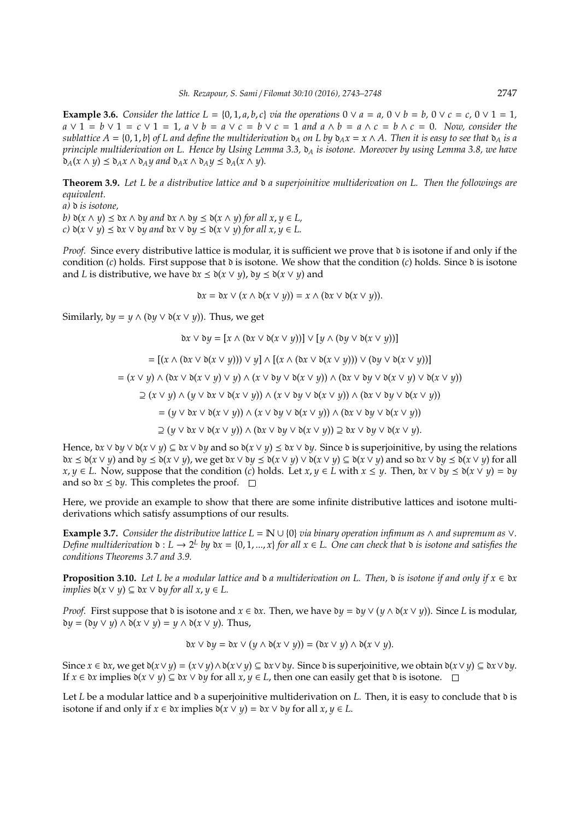**Example 3.6.** *Consider the lattice L* = {0, 1, *a*, *b*, *c*} *via the operations*  $0 \vee a = a$ ,  $0 \vee b = b$ ,  $0 \vee c = c$ ,  $0 \vee 1 = 1$ , *a* ∨ 1 = *b* ∨ 1 = *c* ∨ 1 = 1*, a* ∨ *b* = *a* ∨ *c* = *b* ∨ *c* = 1 *and a* ∧ *b* = *a* ∧ *c* = *b* ∧ *c* = 0*. Now, consider the sublattice*  $A = \{0, 1, b\}$  *of L and define the multiderivation*  $d_A$  *on L by*  $d_A x = x \wedge A$ *. Then it is easy to see that*  $d_A$  *is a principle multiderivation on L. Hence by Using Lemma 3.3,*  $\delta_A$  *is isotone. Moreover by using Lemma 3.8, we have*  $\delta_A(x \wedge y) \leq \delta_A x \wedge \delta_A y$  and  $\delta_A x \wedge \delta_A y \leq \delta_A (x \wedge y)$ .

**Theorem 3.9.** *Let L be a distributive lattice and* d *a superjoinitive multiderivation on L. Then the followings are equivalent.*

*a)* d *is isotone,*

*b*)  $\delta(x \land y) \leq \delta x \land \delta y$  and  $\delta x \land \delta y \leq \delta(x \land y)$  for all  $x, y \in L$ ,  $f(x)$   $\delta(x \vee y) \leq \delta x \vee \delta y$  and  $\delta x \vee \delta y \leq \delta(x \vee y)$  for all  $x, y \in L$ .

*Proof.* Since every distributive lattice is modular, it is sufficient we prove that  $\delta$  is isotone if and only if the condition  $(c)$  holds. First suppose that  $\delta$  is isotone. We show that the condition  $(c)$  holds. Since  $\delta$  is isotone and *L* is distributive, we have  $\delta x \leq \delta(x \vee y)$ ,  $\delta y \leq \delta(x \vee y)$  and

$$
\delta x = \delta x \vee (x \wedge \delta(x \vee y)) = x \wedge (\delta x \vee \delta(x \vee y)).
$$

Similarly,  $\delta y = y \wedge (\delta y \vee \delta(x \vee y))$ . Thus, we get

$$
bx \lor by = [x \land (bx \lor b(x \lor y))] \lor [y \land (by \lor b(x \lor y))] \n= [(x \land (bx \lor b(x \lor y))) \lor y] \land [(x \land (bx \lor b(x \lor y))) \lor (by \lor b(x \lor y))] \n= (x \lor y) \land (bx \lor b(x \lor y) \lor y) \land (x \lor by \lor b(x \lor y)) \land (bx \lor b(y \lor b(x \lor y) \lor b(x \lor y)) \n\supseteq (x \lor y) \land (y \lor bx \lor b(x \lor y)) \land (x \lor by \lor b(x \lor y)) \land (bx \lor by \lor b(x \lor y)) \n= (y \lor bx \lor b(x \lor y)) \land (x \lor by \lor b(x \lor y)) \land (bx \lor by \lor b(x \lor y)) \n\supseteq (y \lor bx \lor b(x \lor y)) \land (bx \lor by \lor b(x \lor y)) \supseteq bx \lor by \lor b(x \lor y).
$$

Hence,  $\delta x \vee \delta y \vee \delta(x \vee y) \subseteq \delta x \vee \delta y$  and so  $\delta(x \vee y) \leq \delta x \vee \delta y$ . Since  $\delta$  is superjoinitive, by using the relations  $\delta x \leq \delta(x \vee y)$  and  $\delta y \leq \delta(x \vee y)$ , we get  $\delta x \vee \delta y \leq \delta(x \vee y) \vee \delta(x \vee y) \subseteq \delta(x \vee y)$  and so  $\delta x \vee \delta y \leq \delta(x \vee y)$  for all *x*, *y* ∈ *L*. Now, suppose that the condition (*c*) holds. Let *x*, *y* ∈ *L* with *x* ≤ *y*. Then,  $\delta x \vee \delta y \leq \delta(x \vee y) = \delta y$ and so  $\delta x \leq \delta y$ . This completes the proof.  $\Box$ 

Here, we provide an example to show that there are some infinite distributive lattices and isotone multiderivations which satisfy assumptions of our results.

**Example 3.7.** *Consider the distributive lattice*  $L = \mathbb{N} \cup \{0\}$  *via binary operation infimum as*  $\land$  *and supremum as*  $\lor$ *. Define multiderivation*  $\delta : L \to 2^L$  *by*  $\delta x = \{0, 1, ..., x\}$  *for all*  $x \in L$ . One can check that  $\delta$  *is isotone and satisfies the conditions Theorems 3.7 and 3.9.*

**Proposition 3.10.** *Let L be a modular lattice and*  $\alpha$  *a multiderivation on L. Then,*  $\alpha$  *is isotone if and only if*  $x \in \alpha x$ *implies*  $\delta(x \lor y)$  ⊆  $\delta x \lor \delta y$  *for all x*,  $y \in L$ .

*Proof.* First suppose that  $\delta$  is isotone and  $x \in \delta x$ . Then, we have  $\delta y = \delta y \vee (y \wedge \delta(x \vee y))$ . Since *L* is modular,  $\delta y = (\delta y \lor y) \land \delta(x \lor y) = y \land \delta(x \lor y)$ . Thus,

$$
\Delta x \vee \Delta y = \Delta x \vee (y \wedge \Delta(x \vee y)) = (\Delta x \vee y) \wedge \Delta(x \vee y).
$$

Since  $x \in \partial x$ , we get  $\partial(x \vee y) = (x \vee y) \wedge \partial(x \vee y) \subseteq \partial x \vee \partial y$ . Since  $\partial \partial x$  is superjoinitive, we obtain  $\partial(x \vee y) \subseteq \partial x \vee \partial y$ . If  $x \in \partial x$  implies  $\partial(x \vee y) \subseteq \partial x \vee \partial y$  for all  $x, y \in L$ , then one can easily get that  $\partial$  is isotone. □

Let *L* be a modular lattice and  $\delta$  a superjoinitive multiderivation on *L*. Then, it is easy to conclude that  $\delta$  is isotone if and only if  $x \in \partial x$  implies  $\partial(x \vee y) = \partial x \vee \partial y$  for all  $x, y \in L$ .